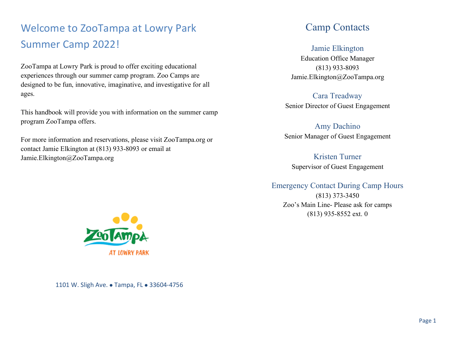# Welcome to ZooTampa at Lowry Park Summer Camp 2022!

ZooTampa at Lowry Park is proud to offer exciting educational experiences through our summer camp program. Zoo Camps are designed to be fun, innovative, imaginative, and investigative for all ages.

This handbook will provide you with information on the summer camp program ZooTampa offers.

For more information and reservations, please visit ZooTampa.org or contact Jamie Elkington at (813) 933-8093 or email at Jamie.Elkington@ZooTampa.org

#### Camp Contacts

#### Jamie Elkington

Education Office Manager (813) 933-8093 Jamie.Elkington@ZooTampa.org

Cara Treadway Senior Director of Guest Engagement

#### Amy Dachino

Senior Manager of Guest Engagement

Kristen Turner Supervisor of Guest Engagement

#### Emergency Contact During Camp Hours

(813) 373-3450 Zoo's Main Line- Please ask for camps (813) 935-8552 ext. 0



1101 W. Sligh Ave. • Tampa, FL • 33604-4756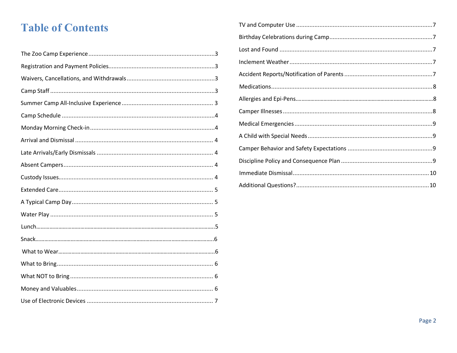# **Table of Contents**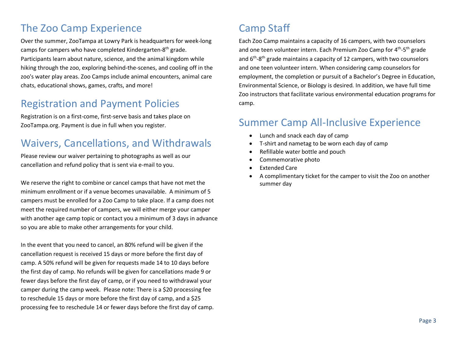# The Zoo Camp Experience

Over the summer, ZooTampa at Lowry Park is headquarters for week-long camps for campers who have completed Kindergarten-8<sup>th</sup> grade. Participants learn about nature, science, and the animal kingdom while hiking through the zoo, exploring behind-the-scenes, and cooling off in the zoo's water play areas. Zoo Camps include animal encounters, animal care chats, educational shows, games, crafts, and more!

## Registration and Payment Policies

Registration is on a first-come, first-serve basis and takes place on ZooTampa.org. Payment is due in full when you register.

## Waivers, Cancellations, and Withdrawals

Please review our waiver pertaining to photographs as well as our cancellation and refund policy that is sent via e-mail to you.

We reserve the right to combine or cancel camps that have not met the minimum enrollment or if a venue becomes unavailable. A minimum of 5 campers must be enrolled for a Zoo Camp to take place. If a camp does not meet the required number of campers, we will either merge your camper with another age camp topic or contact you a minimum of 3 days in advance so you are able to make other arrangements for your child.

In the event that you need to cancel, an 80% refund will be given if the cancellation request is received 15 days or more before the first day of camp. A 50% refund will be given for requests made 14 to 10 days before the first day of camp. No refunds will be given for cancellations made 9 or fewer days before the first day of camp, or if you need to withdrawal your camper during the camp week. Please note: There is a \$20 processing fee to reschedule 15 days or more before the first day of camp, and a \$25 processing fee to reschedule 14 or fewer days before the first day of camp.

# Camp Staff

Each Zoo Camp maintains a capacity of 16 campers, with two counselors and one teen volunteer intern. Each Premium Zoo Camp for 4<sup>th</sup>-5<sup>th</sup> grade and  $6<sup>th</sup>$ -8<sup>th</sup> grade maintains a capacity of 12 campers, with two counselors and one teen volunteer intern. When considering camp counselors for employment, the completion or pursuit of a Bachelor's Degree in Education, Environmental Science, or Biology is desired. In addition, we have full time Zoo instructors that facilitate various environmental education programs for camp.

#### Summer Camp All-Inclusive Experience

- Lunch and snack each day of camp
- T-shirt and nametag to be worn each day of camp
- Refillable water bottle and pouch
- Commemorative photo
- **Extended Care**
- A complimentary ticket for the camper to visit the Zoo on another summer day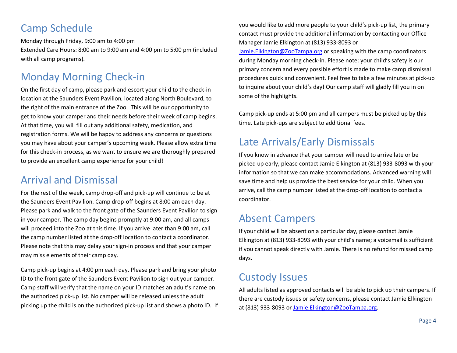## Camp Schedule

Monday through Friday, 9:00 am to 4:00 pm Extended Care Hours: 8:00 am to 9:00 am and 4:00 pm to 5:00 pm (included with all camp programs).

# Monday Morning Check-in

On the first day of camp, please park and escort your child to the check-in location at the Saunders Event Pavilion, located along North Boulevard, to the right of the main entrance of the Zoo. This will be our opportunity to get to know your camper and their needs before their week of camp begins. At that time, you will fill out any additional safety, medication, and registration forms. We will be happy to address any concerns or questions you may have about your camper's upcoming week. Please allow extra time for this check-in process, as we want to ensure we are thoroughly prepared to provide an excellent camp experience for your child!

## Arrival and Dismissal

For the rest of the week, camp drop-off and pick-up will continue to be at the Saunders Event Pavilion. Camp drop-off begins at 8:00 am each day. Please park and walk to the front gate of the Saunders Event Pavilion to sign in your camper. The camp day begins promptly at 9:00 am, and all camps will proceed into the Zoo at this time. If you arrive later than 9:00 am, call the camp number listed at the drop-off location to contact a coordinator. Please note that this may delay your sign-in process and that your camper may miss elements of their camp day.

Camp pick-up begins at 4:00 pm each day. Please park and bring your photo ID to the front gate of the Saunders Event Pavilion to sign out your camper. Camp staff will verify that the name on your ID matches an adult's name on the authorized pick-up list. No camper will be released unless the adult picking up the child is on the authorized pick-up list and shows a photo ID. If you would like to add more people to your child's pick-up list, the primary contact must provide the additional information by contacting our Office Manager Jamie Elkington at (813) 933-8093 or

Jamie.Elkington@ZooTampa.org or speaking with the camp coordinators during Monday morning check-in. Please note: your child's safety is our primary concern and every possible effort is made to make camp dismissal procedures quick and convenient. Feel free to take a few minutes at pick-up to inquire about your child's day! Our camp staff will gladly fill you in on some of the highlights.

Camp pick-up ends at 5:00 pm and all campers must be picked up by this time. Late pick-ups are subject to additional fees.

#### Late Arrivals/Early Dismissals

If you know in advance that your camper will need to arrive late or be picked up early, please contact Jamie Elkington at (813) 933-8093 with your information so that we can make accommodations. Advanced warning will save time and help us provide the best service for your child. When you arrive, call the camp number listed at the drop-off location to contact a coordinator.

#### Absent Campers

If your child will be absent on a particular day, please contact Jamie Elkington at (813) 933-8093 with your child's name; a voicemail is sufficient if you cannot speak directly with Jamie. There is no refund for missed camp days.

#### Custody Issues

All adults listed as approved contacts will be able to pick up their campers. If there are custody issues or safety concerns, please contact Jamie Elkington at (813) 933-8093 or Jamie.Elkington@ZooTampa.org.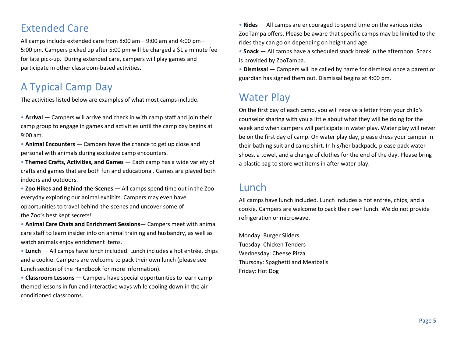## Extended Care

All camps include extended care from 8:00 am – 9:00 am and 4:00 pm – 5:00 pm. Campers picked up after 5:00 pm will be charged a \$1 a minute fee for late pick-up. During extended care, campers will play games and participate in other classroom-based activities.

# A Typical Camp Day

The activities listed below are examples of what most camps include.

• **Arrival** — Campers will arrive and check in with camp staff and join their camp group to engage in games and activities until the camp day begins at 9:00 am.

• **Animal Encounters** — Campers have the chance to get up close and personal with animals during exclusive camp encounters.

• **Themed Crafts, Activities, and Games** — Each camp has a wide variety of crafts and games that are both fun and educational. Games are played both indoors and outdoors.

• **Zoo Hikes and Behind-the-Scenes** — All camps spend time out in the Zoo everyday exploring our animal exhibits. Campers may even have opportunities to travel behind-the-scenes and uncover some of the Zoo's best kept secrets!

• **Animal Care Chats and Enrichment Sessions**— Campers meet with animal care staff to learn insider info on animal training and husbandry, as well as watch animals enjoy enrichment items.

• **Lunch** — All camps have lunch included. Lunch includes a hot entrée, chips and a cookie. Campers are welcome to pack their own lunch (please see Lunch section of the Handbook for more information).

• **Classroom Lessons** — Campers have special opportunities to learn camp themed lessons in fun and interactive ways while cooling down in the airconditioned classrooms.

• **Rides** — All camps are encouraged to spend time on the various rides ZooTampa offers. Please be aware that specific camps may be limited to the rides they can go on depending on height and age.

• **Snack** — All camps have a scheduled snack break in the afternoon. Snack is provided by ZooTampa.

• **Dismissal** — Campers will be called by name for dismissal once a parent or guardian has signed them out. Dismissal begins at 4:00 pm.

#### Water Play

On the first day of each camp, you will receive a letter from your child's counselor sharing with you a little about what they will be doing for the week and when campers will participate in water play. Water play will never be on the first day of camp. On water play day, please dress your camper in their bathing suit and camp shirt. In his/her backpack, please pack water shoes, a towel, and a change of clothes for the end of the day. Please bring a plastic bag to store wet items in after water play.

#### Lunch

All camps have lunch included. Lunch includes a hot entrée, chips, and a cookie. Campers are welcome to pack their own lunch. We do not provide refrigeration or microwave.

Monday: Burger Sliders Tuesday: Chicken Tenders Wednesday: Cheese Pizza Thursday: Spaghetti and Meatballs Friday: Hot Dog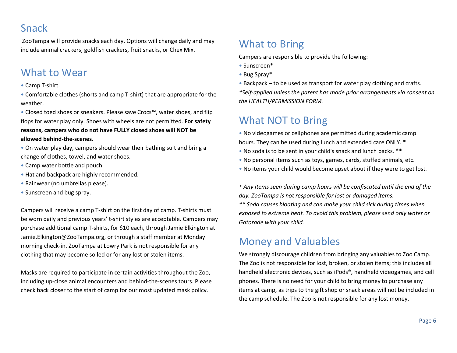### Snack

ZooTampa will provide snacks each day. Options will change daily and may include animal crackers, goldfish crackers, fruit snacks, or Chex Mix.

#### What to Wear

• Camp T-shirt.

• Comfortable clothes (shorts and camp T-shirt) that are appropriate for the weather.

• Closed toed shoes or sneakers. Please save Crocs™, water shoes, and flip flops for water play only. Shoes with wheels are not permitted. **For safety reasons, campers who do not have FULLY closed shoes will NOT be allowed behind-the-scenes.**

• On water play day, campers should wear their bathing suit and bring a change of clothes, towel, and water shoes.

- Camp water bottle and pouch.
- Hat and backpack are highly recommended.
- Rainwear (no umbrellas please).
- Sunscreen and bug spray.

Campers will receive a camp T-shirt on the first day of camp. T-shirts must be worn daily and previous years' t-shirt styles are acceptable. Campers may purchase additional camp T-shirts, for \$10 each, through Jamie Elkington at Jamie.Elkington@ZooTampa.org, or through a staff member at Monday morning check-in. ZooTampa at Lowry Park is not responsible for any clothing that may become soiled or for any lost or stolen items.

Masks are required to participate in certain activities throughout the Zoo, including up-close animal encounters and behind-the-scenes tours. Please check back closer to the start of camp for our most updated mask policy.

## What to Bring

Campers are responsible to provide the following:

- Sunscreen\*
- Bug Spray\*
- Backpack to be used as transport for water play clothing and crafts.

*\*Self-applied unless the parent has made prior arrangements via consent on the HEALTH/PERMISSION FORM.* 

### What NOT to Bring

- No videogames or cellphones are permitted during academic camp hours. They can be used during lunch and extended care ONLY. \*
- No soda is to be sent in your child's snack and lunch packs. \*\*
- No personal items such as toys, games, cards, stuffed animals, etc.
- No items your child would become upset about if they were to get lost.

*\* Any items seen during camp hours will be confiscated until the end of the day. ZooTampa is not responsible for lost or damaged items.*

*\*\* Soda causes bloating and can make your child sick during times when exposed to extreme heat. To avoid this problem, please send only water or Gatorade with your child.*

#### Money and Valuables

We strongly discourage children from bringing any valuables to Zoo Camp. The Zoo is not responsible for lost, broken, or stolen items; this includes all handheld electronic devices, such as iPods®, handheld videogames, and cell phones. There is no need for your child to bring money to purchase any items at camp, as trips to the gift shop or snack areas will not be included in the camp schedule. The Zoo is not responsible for any lost money.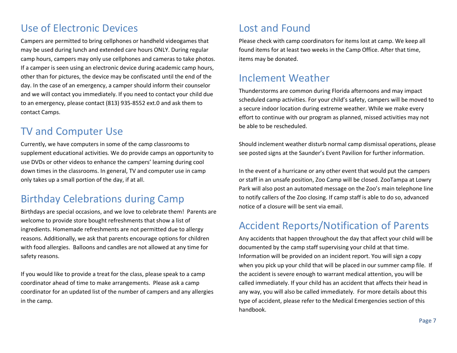## Use of Electronic Devices

Campers are permitted to bring cellphones or handheld videogames that may be used during lunch and extended care hours ONLY. During regular camp hours, campers may only use cellphones and cameras to take photos. If a camper is seen using an electronic device during academic camp hours, other than for pictures, the device may be confiscated until the end of the day. In the case of an emergency, a camper should inform their counselor and we will contact you immediately. If you need to contact your child due to an emergency, please contact (813) 935-8552 ext.0 and ask them to contact Camps.

#### TV and Computer Use

Currently, we have computers in some of the camp classrooms to supplement educational activities. We do provide camps an opportunity to use DVDs or other videos to enhance the campers' learning during cool down times in the classrooms. In general, TV and computer use in camp only takes up a small portion of the day, if at all.

#### Birthday Celebrations during Camp

Birthdays are special occasions, and we love to celebrate them! Parents are welcome to provide store bought refreshments that show a list of ingredients. Homemade refreshments are not permitted due to allergy reasons. Additionally, we ask that parents encourage options for children with food allergies. Balloons and candles are not allowed at any time for safety reasons.

If you would like to provide a treat for the class, please speak to a camp coordinator ahead of time to make arrangements. Please ask a camp coordinator for an updated list of the number of campers and any allergies in the camp.

## Lost and Found

Please check with camp coordinators for items lost at camp. We keep all found items for at least two weeks in the Camp Office. After that time, items may be donated.

#### Inclement Weather

Thunderstorms are common during Florida afternoons and may impact scheduled camp activities. For your child's safety, campers will be moved to a secure indoor location during extreme weather. While we make every effort to continue with our program as planned, missed activities may not be able to be rescheduled.

Should inclement weather disturb normal camp dismissal operations, please see posted signs at the Saunder's Event Pavilion for further information.

In the event of a hurricane or any other event that would put the campers or staff in an unsafe position, Zoo Camp will be closed. ZooTampa at Lowry Park will also post an automated message on the Zoo's main telephone line to notify callers of the Zoo closing. If camp staff is able to do so, advanced notice of a closure will be sent via email.

#### Accident Reports/Notification of Parents

Any accidents that happen throughout the day that affect your child will be documented by the camp staff supervising your child at that time. Information will be provided on an incident report. You will sign a copy when you pick up your child that will be placed in our summer camp file. If the accident is severe enough to warrant medical attention, you will be called immediately. If your child has an accident that affects their head in any way, you will also be called immediately. For more details about this type of accident, please refer to the Medical Emergencies section of this handbook.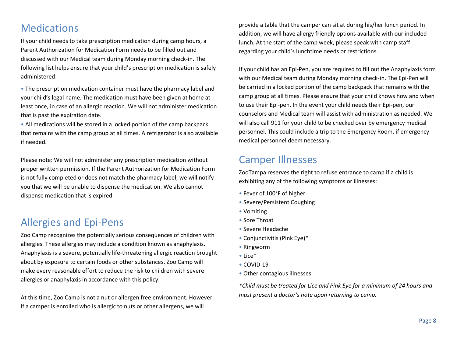#### **Medications**

If your child needs to take prescription medication during camp hours, a Parent Authorization for Medication Form needs to be filled out and discussed with our Medical team during Monday morning check-in. The following list helps ensure that your child's prescription medication is safely administered:

• The prescription medication container must have the pharmacy label and your child's legal name. The medication must have been given at home at least once, in case of an allergic reaction. We will not administer medication that is past the expiration date.

• All medications will be stored in a locked portion of the camp backpack that remains with the camp group at all times. A refrigerator is also available if needed.

Please note: We will not administer any prescription medication without proper written permission. If the Parent Authorization for Medication Form is not fully completed or does not match the pharmacy label, we will notify you that we will be unable to dispense the medication. We also cannot dispense medication that is expired.

#### Allergies and Epi-Pens

Zoo Camp recognizes the potentially serious consequences of children with allergies. These allergies may include a condition known as anaphylaxis. Anaphylaxis is a severe, potentially life-threatening allergic reaction brought about by exposure to certain foods or other substances. Zoo Camp will make every reasonable effort to reduce the risk to children with severe allergies or anaphylaxis in accordance with this policy.

At this time, Zoo Camp is not a nut or allergen free environment. However, if a camper is enrolled who is allergic to nuts or other allergens, we will

provide a table that the camper can sit at during his/her lunch period. In addition, we will have allergy friendly options available with our included lunch. At the start of the camp week, please speak with camp staff regarding your child's lunchtime needs or restrictions.

If your child has an Epi-Pen, you are required to fill out the Anaphylaxis form with our Medical team during Monday morning check-in. The Epi-Pen will be carried in a locked portion of the camp backpack that remains with the camp group at all times. Please ensure that your child knows how and when to use their Epi-pen. In the event your child needs their Epi-pen, our counselors and Medical team will assist with administration as needed. We will also call 911 for your child to be checked over by emergency medical personnel. This could include a trip to the Emergency Room, if emergency medical personnel deem necessary.

#### Camper Illnesses

ZooTampa reserves the right to refuse entrance to camp if a child is exhibiting any of the following symptoms or illnesses:

- Fever of 100°F of higher
- Severe/Persistent Coughing
- Vomiting
- Sore Throat
- Severe Headache
- Conjunctivitis (Pink Eye)\*
- Ringworm
- Lice\*
- COVID-19
- Other contagious illnesses

*\*Child must be treated for Lice and Pink Eye for a minimum of 24 hours and must present a doctor's note upon returning to camp.*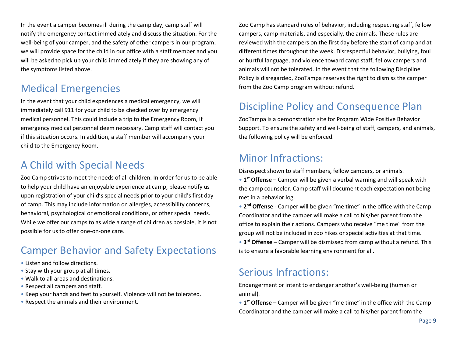In the event a camper becomes ill during the camp day, camp staff will notify the emergency contact immediately and discuss the situation. For the well-being of your camper, and the safety of other campers in our program, we will provide space for the child in our office with a staff member and you will be asked to pick up your child immediately if they are showing any of the symptoms listed above.

## Medical Emergencies

In the event that your child experiences a medical emergency, we will immediately call 911 for your child to be checked over by emergency medical personnel. This could include a trip to the Emergency Room, if emergency medical personnel deem necessary. Camp staff will contact you if this situation occurs. In addition, a staff member will accompany your child to the Emergency Room.

## A Child with Special Needs

Zoo Camp strives to meet the needs of all children. In order for us to be able to help your child have an enjoyable experience at camp, please notify us upon registration of your child's special needs prior to your child's first day of camp. This may include information on allergies, accessibility concerns, behavioral, psychological or emotional conditions, or other special needs. While we offer our camps to as wide a range of children as possible, it is not possible for us to offer one-on-one care.

# Camper Behavior and Safety Expectations

- Listen and follow directions.
- Stay with your group at all times.
- Walk to all areas and destinations.
- Respect all campers and staff.
- Keep your hands and feet to yourself. Violence will not be tolerated.
- Respect the animals and their environment.

Zoo Camp has standard rules of behavior, including respecting staff, fellow campers, camp materials, and especially, the animals. These rules are reviewed with the campers on the first day before the start of camp and at different times throughout the week. Disrespectful behavior, bullying, foul or hurtful language, and violence toward camp staff, fellow campers and animals will not be tolerated. In the event that the following Discipline Policy is disregarded, ZooTampa reserves the right to dismiss the camper from the Zoo Camp program without refund.

## Discipline Policy and Consequence Plan

ZooTampa is a demonstration site for Program Wide Positive Behavior Support. To ensure the safety and well-being of staff, campers, and animals, the following policy will be enforced.

## Minor Infractions:

Disrespect shown to staff members, fellow campers, or animals.

• **1st Offense** – Camper will be given a verbal warning and will speak with the camp counselor. Camp staff will document each expectation not being met in a behavior log.

• **2nd Offense** - Camper will be given "me time" in the office with the Camp Coordinator and the camper will make a call to his/her parent from the office to explain their actions. Campers who receive "me time" from the group will not be included in zoo hikes or special activities at that time. • **3rd Offense** – Camper will be dismissed from camp without a refund. This is to ensure a favorable learning environment for all.

## Serious Infractions:

Endangerment or intent to endanger another's well-being (human or animal).

• **1st Offense** – Camper will be given "me time" in the office with the Camp Coordinator and the camper will make a call to his/her parent from the